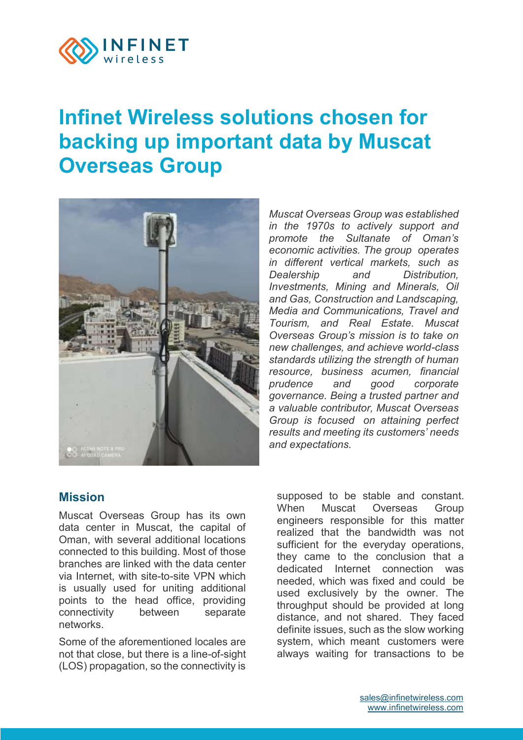

# **[Infinet Wireless solutions chosen for](https://wiki.infinetwireless.com/display/PR/Infinet+Wireless+solutions+chosen+for+backing+up+important+data+by+Muscat+Overseas+Group)  [backing up important data by Muscat](https://wiki.infinetwireless.com/display/PR/Infinet+Wireless+solutions+chosen+for+backing+up+important+data+by+Muscat+Overseas+Group)  [Overseas Group](https://wiki.infinetwireless.com/display/PR/Infinet+Wireless+solutions+chosen+for+backing+up+important+data+by+Muscat+Overseas+Group)**



*Muscat Overseas Group was established in the 1970s to actively support and promote the Sultanate of Oman's economic activities. The group operates in different vertical markets, such as Dealership and Distribution, Investments, Mining and Minerals, Oil and Gas, Construction and Landscaping, Media and Communications, Travel and Tourism, and Real Estate. Muscat Overseas Group's mission is to take on new challenges, and achieve world-class standards utilizing the strength of human resource, business acumen, financial prudence and good corporate governance. Being a trusted partner and a valuable contributor, Muscat Overseas Group is focused on attaining perfect results and meeting its customers' needs and expectations.*

#### **Mission**

Muscat Overseas Group has its own data center in Muscat, the capital of Oman, with several additional locations connected to this building. Most of those branches are linked with the data center via Internet, with site-to-site VPN which is usually used for uniting additional points to the head office, providing connectivity between separate networks.

Some of the aforementioned locales are not that close, but there is a line-of-sight (LOS) propagation, so the connectivity is

supposed to be stable and constant. When Muscat Overseas Group engineers responsible for this matter realized that the bandwidth was not sufficient for the everyday operations. they came to the conclusion that a dedicated Internet connection was needed, which was fixed and could be used exclusively by the owner. The throughput should be provided at long distance, and not shared. They faced definite issues, such as the slow working system, which meant customers were always waiting for transactions to be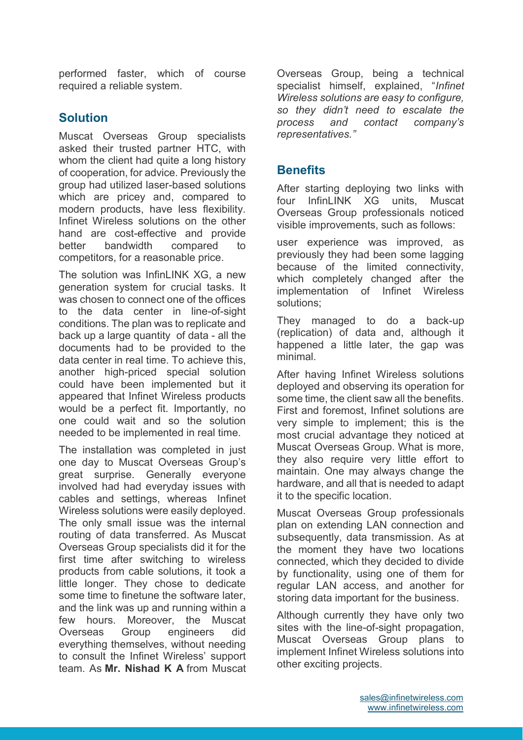performed faster, which of course required a reliable system.

## **Solution**

Muscat Overseas Group specialists asked their trusted partner HTC, with whom the client had quite a long history of cooperation, for advice. Previously the group had utilized laser-based solutions which are pricey and, compared to modern products, have less flexibility. Infinet Wireless solutions on the other hand are cost-effective and provide better bandwidth compared to competitors, for a reasonable price.

The solution was InfinLINK XG, a new generation system for crucial tasks. It was chosen to connect one of the offices to the data center in line-of-sight conditions. The plan was to replicate and back up a large quantity of data - all the documents had to be provided to the data center in real time. To achieve this, another high-priced special solution could have been implemented but it appeared that Infinet Wireless products would be a perfect fit. Importantly, no one could wait and so the solution needed to be implemented in real time.

The installation was completed in just one day to Muscat Overseas Group's great surprise. Generally everyone involved had had everyday issues with cables and settings, whereas Infinet Wireless solutions were easily deployed. The only small issue was the internal routing of data transferred. As Muscat Overseas Group specialists did it for the first time after switching to wireless products from cable solutions, it took a little longer. They chose to dedicate some time to finetune the software later, and the link was up and running within a few hours. Moreover, the Muscat Overseas Group engineers did everything themselves, without needing to consult the Infinet Wireless' support team. As **Mr. Nishad K A** from Muscat

Overseas Group, being a technical specialist himself, explained, "*Infinet Wireless solutions are easy to configure, so they didn't need to escalate the process and contact company's representatives."*

# **Benefits**

After starting deploying two links with four InfinLINK XG units, Muscat Overseas Group professionals noticed visible improvements, such as follows:

user experience was improved, as previously they had been some lagging because of the limited connectivity, which completely changed after the implementation of Infinet Wireless solutions;

They managed to do a back-up (replication) of data and, although it happened a little later, the gap was minimal.

After having Infinet Wireless solutions deployed and observing its operation for some time, the client saw all the benefits. First and foremost, Infinet solutions are very simple to implement; this is the most crucial advantage they noticed at Muscat Overseas Group. What is more, they also require very little effort to maintain. One may always change the hardware, and all that is needed to adapt it to the specific location.

Muscat Overseas Group professionals plan on extending LAN connection and subsequently, data transmission. As at the moment they have two locations connected, which they decided to divide by functionality, using one of them for regular LAN access, and another for storing data important for the business.

Although currently they have only two sites with the line-of-sight propagation, Muscat Overseas Group plans to implement Infinet Wireless solutions into other exciting projects.